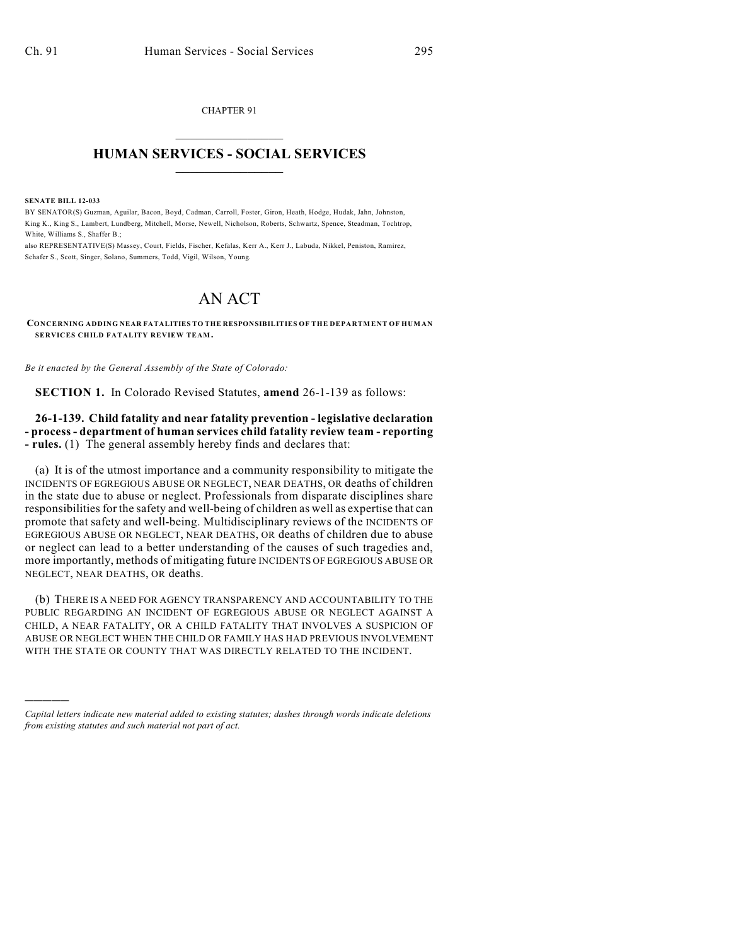CHAPTER 91  $\mathcal{L}_\text{max}$  . The set of the set of the set of the set of the set of the set of the set of the set of the set of the set of the set of the set of the set of the set of the set of the set of the set of the set of the set

## **HUMAN SERVICES - SOCIAL SERVICES**  $\frac{1}{2}$  ,  $\frac{1}{2}$  ,  $\frac{1}{2}$  ,  $\frac{1}{2}$  ,  $\frac{1}{2}$  ,  $\frac{1}{2}$

**SENATE BILL 12-033**

)))))

BY SENATOR(S) Guzman, Aguilar, Bacon, Boyd, Cadman, Carroll, Foster, Giron, Heath, Hodge, Hudak, Jahn, Johnston, King K., King S., Lambert, Lundberg, Mitchell, Morse, Newell, Nicholson, Roberts, Schwartz, Spence, Steadman, Tochtrop, White, Williams S., Shaffer B.;

also REPRESENTATIVE(S) Massey, Court, Fields, Fischer, Kefalas, Kerr A., Kerr J., Labuda, Nikkel, Peniston, Ramirez, Schafer S., Scott, Singer, Solano, Summers, Todd, Vigil, Wilson, Young.

## AN ACT

**CONCERNING ADDING NEAR FATALITIES TO THE RESPONSIBILITIES OF THE DEPARTMENT OF HUMAN SERVICES CHILD FATALITY REVIEW TEAM.**

*Be it enacted by the General Assembly of the State of Colorado:*

**SECTION 1.** In Colorado Revised Statutes, **amend** 26-1-139 as follows:

**26-1-139. Child fatality and near fatality prevention - legislative declaration - process - department of human services child fatality review team - reporting - rules.** (1) The general assembly hereby finds and declares that:

(a) It is of the utmost importance and a community responsibility to mitigate the INCIDENTS OF EGREGIOUS ABUSE OR NEGLECT, NEAR DEATHS, OR deaths of children in the state due to abuse or neglect. Professionals from disparate disciplines share responsibilities for the safety and well-being of children as well as expertise that can promote that safety and well-being. Multidisciplinary reviews of the INCIDENTS OF EGREGIOUS ABUSE OR NEGLECT, NEAR DEATHS, OR deaths of children due to abuse or neglect can lead to a better understanding of the causes of such tragedies and, more importantly, methods of mitigating future INCIDENTS OF EGREGIOUS ABUSE OR NEGLECT, NEAR DEATHS, OR deaths.

(b) THERE IS A NEED FOR AGENCY TRANSPARENCY AND ACCOUNTABILITY TO THE PUBLIC REGARDING AN INCIDENT OF EGREGIOUS ABUSE OR NEGLECT AGAINST A CHILD, A NEAR FATALITY, OR A CHILD FATALITY THAT INVOLVES A SUSPICION OF ABUSE OR NEGLECT WHEN THE CHILD OR FAMILY HAS HAD PREVIOUS INVOLVEMENT WITH THE STATE OR COUNTY THAT WAS DIRECTLY RELATED TO THE INCIDENT.

*Capital letters indicate new material added to existing statutes; dashes through words indicate deletions from existing statutes and such material not part of act.*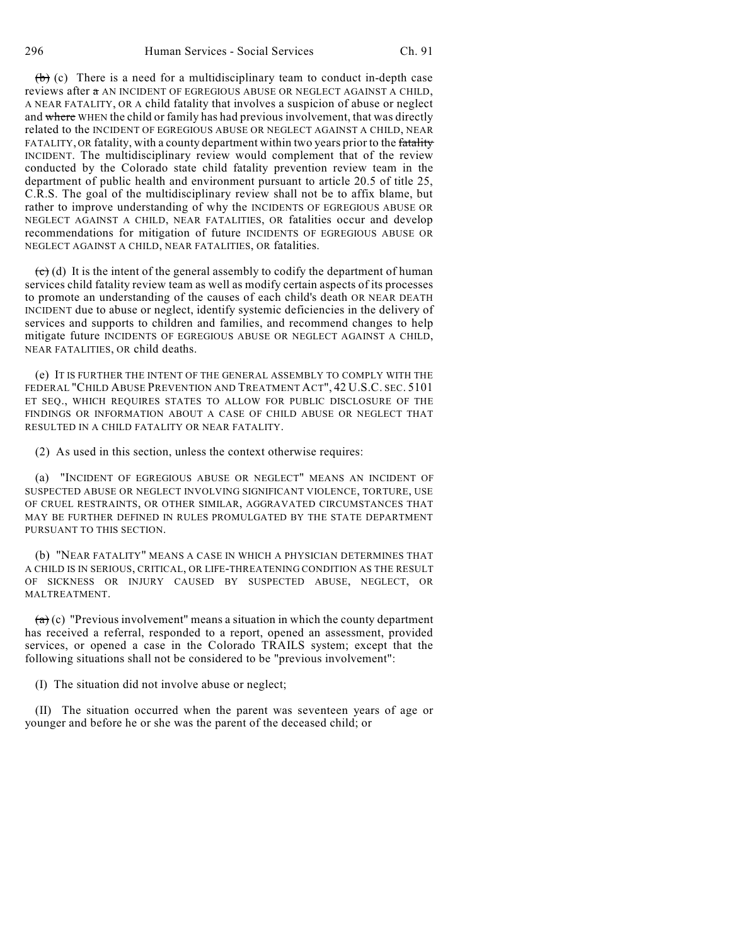$(b)$  (c) There is a need for a multidisciplinary team to conduct in-depth case reviews after a AN INCIDENT OF EGREGIOUS ABUSE OR NEGLECT AGAINST A CHILD, A NEAR FATALITY, OR A child fatality that involves a suspicion of abuse or neglect and where WHEN the child or family has had previous involvement, that was directly related to the INCIDENT OF EGREGIOUS ABUSE OR NEGLECT AGAINST A CHILD, NEAR FATALITY, OR fatality, with a county department within two years prior to the fatality INCIDENT. The multidisciplinary review would complement that of the review conducted by the Colorado state child fatality prevention review team in the department of public health and environment pursuant to article 20.5 of title 25, C.R.S. The goal of the multidisciplinary review shall not be to affix blame, but rather to improve understanding of why the INCIDENTS OF EGREGIOUS ABUSE OR NEGLECT AGAINST A CHILD, NEAR FATALITIES, OR fatalities occur and develop recommendations for mitigation of future INCIDENTS OF EGREGIOUS ABUSE OR NEGLECT AGAINST A CHILD, NEAR FATALITIES, OR fatalities.

 $\overrightarrow{c}$  (d) It is the intent of the general assembly to codify the department of human services child fatality review team as well as modify certain aspects of its processes to promote an understanding of the causes of each child's death OR NEAR DEATH INCIDENT due to abuse or neglect, identify systemic deficiencies in the delivery of services and supports to children and families, and recommend changes to help mitigate future INCIDENTS OF EGREGIOUS ABUSE OR NEGLECT AGAINST A CHILD, NEAR FATALITIES, OR child deaths.

(e) IT IS FURTHER THE INTENT OF THE GENERAL ASSEMBLY TO COMPLY WITH THE FEDERAL "CHILD ABUSE PREVENTION AND TREATMENT ACT", 42 U.S.C. SEC. 5101 ET SEQ., WHICH REQUIRES STATES TO ALLOW FOR PUBLIC DISCLOSURE OF THE FINDINGS OR INFORMATION ABOUT A CASE OF CHILD ABUSE OR NEGLECT THAT RESULTED IN A CHILD FATALITY OR NEAR FATALITY.

(2) As used in this section, unless the context otherwise requires:

(a) "INCIDENT OF EGREGIOUS ABUSE OR NEGLECT" MEANS AN INCIDENT OF SUSPECTED ABUSE OR NEGLECT INVOLVING SIGNIFICANT VIOLENCE, TORTURE, USE OF CRUEL RESTRAINTS, OR OTHER SIMILAR, AGGRAVATED CIRCUMSTANCES THAT MAY BE FURTHER DEFINED IN RULES PROMULGATED BY THE STATE DEPARTMENT PURSUANT TO THIS SECTION.

(b) "NEAR FATALITY" MEANS A CASE IN WHICH A PHYSICIAN DETERMINES THAT A CHILD IS IN SERIOUS, CRITICAL, OR LIFE-THREATENING CONDITION AS THE RESULT OF SICKNESS OR INJURY CAUSED BY SUSPECTED ABUSE, NEGLECT, OR MALTREATMENT.

 $(a)$  (c) "Previous involvement" means a situation in which the county department has received a referral, responded to a report, opened an assessment, provided services, or opened a case in the Colorado TRAILS system; except that the following situations shall not be considered to be "previous involvement":

(I) The situation did not involve abuse or neglect;

(II) The situation occurred when the parent was seventeen years of age or younger and before he or she was the parent of the deceased child; or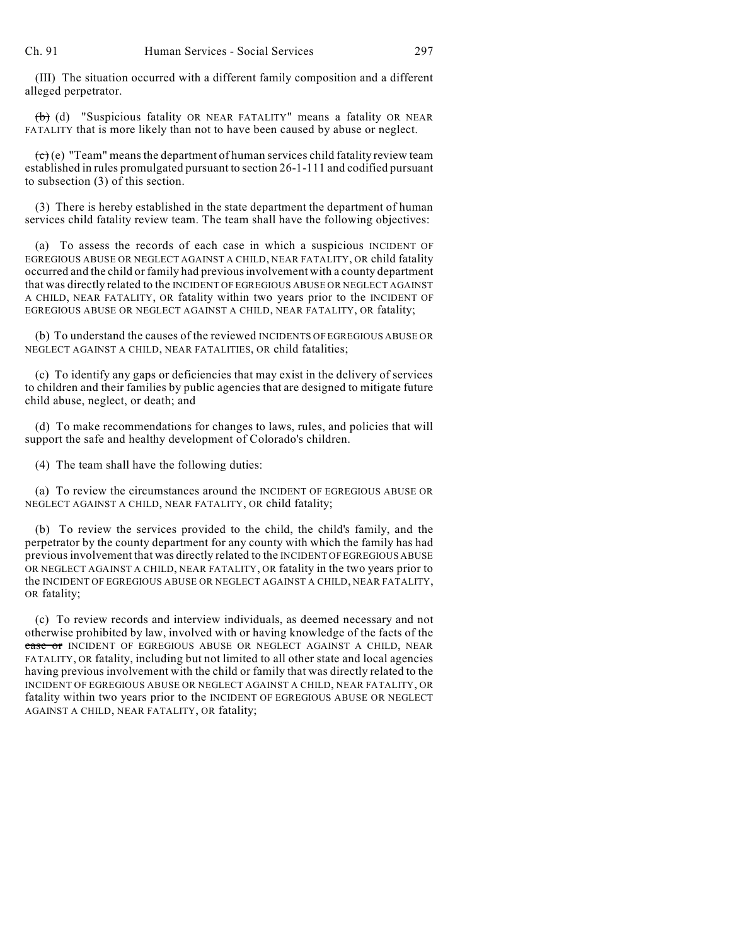(III) The situation occurred with a different family composition and a different alleged perpetrator.

(b) (d) "Suspicious fatality OR NEAR FATALITY" means a fatality OR NEAR FATALITY that is more likely than not to have been caused by abuse or neglect.

 $\overline{(c)}$  (e) "Team" means the department of human services child fatality review team established in rules promulgated pursuant to section 26-1-111 and codified pursuant to subsection (3) of this section.

(3) There is hereby established in the state department the department of human services child fatality review team. The team shall have the following objectives:

(a) To assess the records of each case in which a suspicious INCIDENT OF EGREGIOUS ABUSE OR NEGLECT AGAINST A CHILD, NEAR FATALITY, OR child fatality occurred and the child or family had previousinvolvement with a county department that was directly related to the INCIDENT OF EGREGIOUS ABUSE OR NEGLECT AGAINST A CHILD, NEAR FATALITY, OR fatality within two years prior to the INCIDENT OF EGREGIOUS ABUSE OR NEGLECT AGAINST A CHILD, NEAR FATALITY, OR fatality;

(b) To understand the causes of the reviewed INCIDENTS OF EGREGIOUS ABUSE OR NEGLECT AGAINST A CHILD, NEAR FATALITIES, OR child fatalities;

(c) To identify any gaps or deficiencies that may exist in the delivery of services to children and their families by public agencies that are designed to mitigate future child abuse, neglect, or death; and

(d) To make recommendations for changes to laws, rules, and policies that will support the safe and healthy development of Colorado's children.

(4) The team shall have the following duties:

(a) To review the circumstances around the INCIDENT OF EGREGIOUS ABUSE OR NEGLECT AGAINST A CHILD, NEAR FATALITY, OR child fatality;

(b) To review the services provided to the child, the child's family, and the perpetrator by the county department for any county with which the family has had previousinvolvement that was directly related to the INCIDENT OF EGREGIOUS ABUSE OR NEGLECT AGAINST A CHILD, NEAR FATALITY, OR fatality in the two years prior to the INCIDENT OF EGREGIOUS ABUSE OR NEGLECT AGAINST A CHILD, NEAR FATALITY, OR fatality;

(c) To review records and interview individuals, as deemed necessary and not otherwise prohibited by law, involved with or having knowledge of the facts of the case or INCIDENT OF EGREGIOUS ABUSE OR NEGLECT AGAINST A CHILD, NEAR FATALITY, OR fatality, including but not limited to all other state and local agencies having previous involvement with the child or family that was directly related to the INCIDENT OF EGREGIOUS ABUSE OR NEGLECT AGAINST A CHILD, NEAR FATALITY, OR fatality within two years prior to the INCIDENT OF EGREGIOUS ABUSE OR NEGLECT AGAINST A CHILD, NEAR FATALITY, OR fatality;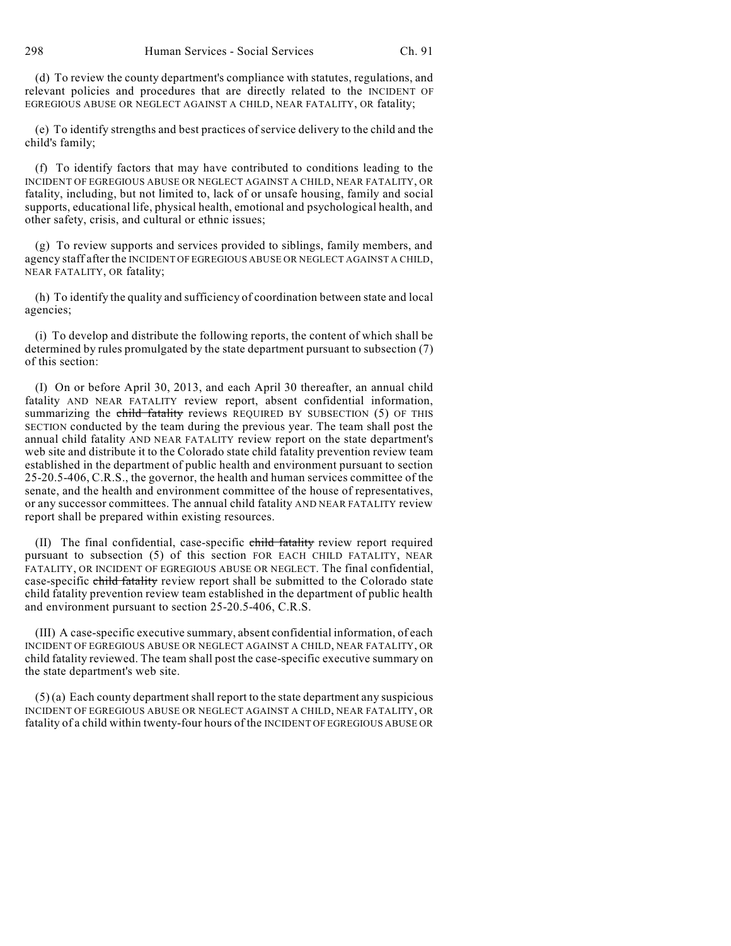(d) To review the county department's compliance with statutes, regulations, and relevant policies and procedures that are directly related to the INCIDENT OF EGREGIOUS ABUSE OR NEGLECT AGAINST A CHILD, NEAR FATALITY, OR fatality;

(e) To identify strengths and best practices of service delivery to the child and the child's family;

(f) To identify factors that may have contributed to conditions leading to the INCIDENT OF EGREGIOUS ABUSE OR NEGLECT AGAINST A CHILD, NEAR FATALITY, OR fatality, including, but not limited to, lack of or unsafe housing, family and social supports, educational life, physical health, emotional and psychological health, and other safety, crisis, and cultural or ethnic issues;

(g) To review supports and services provided to siblings, family members, and agency staff after the INCIDENT OF EGREGIOUS ABUSE OR NEGLECT AGAINST A CHILD, NEAR FATALITY, OR fatality;

(h) To identify the quality and sufficiency of coordination between state and local agencies;

(i) To develop and distribute the following reports, the content of which shall be determined by rules promulgated by the state department pursuant to subsection (7) of this section:

(I) On or before April 30, 2013, and each April 30 thereafter, an annual child fatality AND NEAR FATALITY review report, absent confidential information, summarizing the child fatality reviews REQUIRED BY SUBSECTION (5) OF THIS SECTION conducted by the team during the previous year. The team shall post the annual child fatality AND NEAR FATALITY review report on the state department's web site and distribute it to the Colorado state child fatality prevention review team established in the department of public health and environment pursuant to section 25-20.5-406, C.R.S., the governor, the health and human services committee of the senate, and the health and environment committee of the house of representatives, or any successor committees. The annual child fatality AND NEAR FATALITY review report shall be prepared within existing resources.

(II) The final confidential, case-specific child fatality review report required pursuant to subsection (5) of this section FOR EACH CHILD FATALITY, NEAR FATALITY, OR INCIDENT OF EGREGIOUS ABUSE OR NEGLECT. The final confidential, case-specific child fatality review report shall be submitted to the Colorado state child fatality prevention review team established in the department of public health and environment pursuant to section 25-20.5-406, C.R.S.

(III) A case-specific executive summary, absent confidential information, of each INCIDENT OF EGREGIOUS ABUSE OR NEGLECT AGAINST A CHILD, NEAR FATALITY, OR child fatality reviewed. The team shall post the case-specific executive summary on the state department's web site.

 $(5)$  (a) Each county department shall report to the state department any suspicious INCIDENT OF EGREGIOUS ABUSE OR NEGLECT AGAINST A CHILD, NEAR FATALITY, OR fatality of a child within twenty-four hours of the INCIDENT OF EGREGIOUS ABUSE OR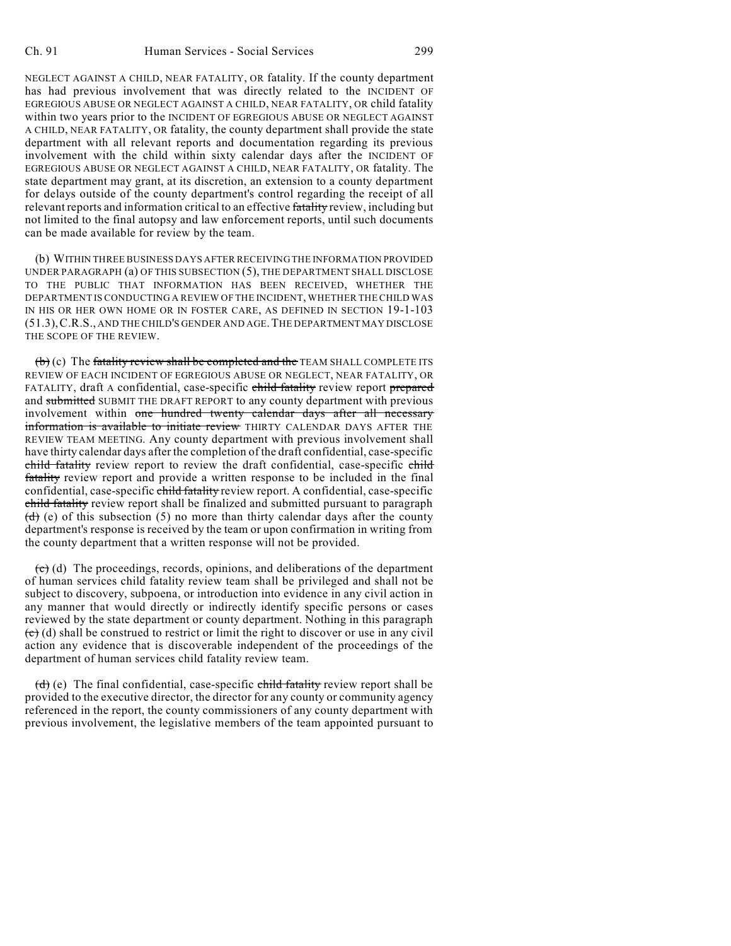NEGLECT AGAINST A CHILD, NEAR FATALITY, OR fatality. If the county department has had previous involvement that was directly related to the INCIDENT OF EGREGIOUS ABUSE OR NEGLECT AGAINST A CHILD, NEAR FATALITY, OR child fatality within two years prior to the INCIDENT OF EGREGIOUS ABUSE OR NEGLECT AGAINST A CHILD, NEAR FATALITY, OR fatality, the county department shall provide the state department with all relevant reports and documentation regarding its previous involvement with the child within sixty calendar days after the INCIDENT OF EGREGIOUS ABUSE OR NEGLECT AGAINST A CHILD, NEAR FATALITY, OR fatality. The state department may grant, at its discretion, an extension to a county department for delays outside of the county department's control regarding the receipt of all relevant reports and information critical to an effective fatality review, including but not limited to the final autopsy and law enforcement reports, until such documents can be made available for review by the team.

(b) WITHIN THREE BUSINESS DAYS AFTER RECEIVING THE INFORMATION PROVIDED UNDER PARAGRAPH (a) OF THIS SUBSECTION (5), THE DEPARTMENT SHALL DISCLOSE TO THE PUBLIC THAT INFORMATION HAS BEEN RECEIVED, WHETHER THE DEPARTMENT IS CONDUCTING A REVIEW OF THE INCIDENT, WHETHER THE CHILD WAS IN HIS OR HER OWN HOME OR IN FOSTER CARE, AS DEFINED IN SECTION 19-1-103 (51.3),C.R.S., AND THE CHILD'S GENDER AND AGE.THE DEPARTMENT MAY DISCLOSE THE SCOPE OF THE REVIEW.

 $(b)$  (c) The fatality review shall be completed and the TEAM SHALL COMPLETE ITS REVIEW OF EACH INCIDENT OF EGREGIOUS ABUSE OR NEGLECT, NEAR FATALITY, OR FATALITY, draft A confidential, case-specific child fatality review report prepared and submitted SUBMIT THE DRAFT REPORT to any county department with previous involvement within one hundred twenty calendar days after all necessary information is available to initiate review THIRTY CALENDAR DAYS AFTER THE REVIEW TEAM MEETING. Any county department with previous involvement shall have thirty calendar days after the completion of the draft confidential, case-specific child fatality review report to review the draft confidential, case-specific child fatality review report and provide a written response to be included in the final confidential, case-specific child fatality review report. A confidential, case-specific child fatality review report shall be finalized and submitted pursuant to paragraph  $(d)$  (e) of this subsection (5) no more than thirty calendar days after the county department's response is received by the team or upon confirmation in writing from the county department that a written response will not be provided.

 $\left(\mathbf{c}\right)$  (d) The proceedings, records, opinions, and deliberations of the department of human services child fatality review team shall be privileged and shall not be subject to discovery, subpoena, or introduction into evidence in any civil action in any manner that would directly or indirectly identify specific persons or cases reviewed by the state department or county department. Nothing in this paragraph  $\overline{(e)}$  (d) shall be construed to restrict or limit the right to discover or use in any civil action any evidence that is discoverable independent of the proceedings of the department of human services child fatality review team.

 $(d)$  (e) The final confidential, case-specific child fatality review report shall be provided to the executive director, the director for any county or community agency referenced in the report, the county commissioners of any county department with previous involvement, the legislative members of the team appointed pursuant to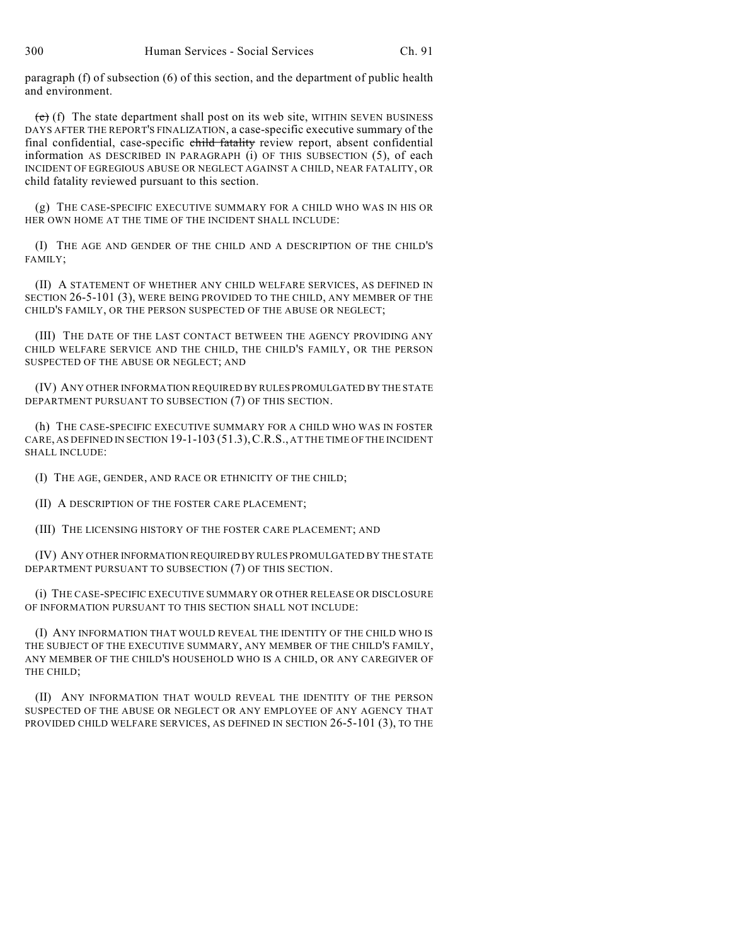paragraph (f) of subsection (6) of this section, and the department of public health and environment.

 $(e)$  (f) The state department shall post on its web site, WITHIN SEVEN BUSINESS DAYS AFTER THE REPORT'S FINALIZATION, a case-specific executive summary of the final confidential, case-specific child fatality review report, absent confidential information AS DESCRIBED IN PARAGRAPH (i) OF THIS SUBSECTION (5), of each INCIDENT OF EGREGIOUS ABUSE OR NEGLECT AGAINST A CHILD, NEAR FATALITY, OR child fatality reviewed pursuant to this section.

(g) THE CASE-SPECIFIC EXECUTIVE SUMMARY FOR A CHILD WHO WAS IN HIS OR HER OWN HOME AT THE TIME OF THE INCIDENT SHALL INCLUDE:

(I) THE AGE AND GENDER OF THE CHILD AND A DESCRIPTION OF THE CHILD'S FAMILY;

(II) A STATEMENT OF WHETHER ANY CHILD WELFARE SERVICES, AS DEFINED IN SECTION 26-5-101 (3), WERE BEING PROVIDED TO THE CHILD, ANY MEMBER OF THE CHILD'S FAMILY, OR THE PERSON SUSPECTED OF THE ABUSE OR NEGLECT;

(III) THE DATE OF THE LAST CONTACT BETWEEN THE AGENCY PROVIDING ANY CHILD WELFARE SERVICE AND THE CHILD, THE CHILD'S FAMILY, OR THE PERSON SUSPECTED OF THE ABUSE OR NEGLECT; AND

(IV) ANY OTHER INFORMATION REQUIRED BY RULES PROMULGATED BY THE STATE DEPARTMENT PURSUANT TO SUBSECTION (7) OF THIS SECTION.

(h) THE CASE-SPECIFIC EXECUTIVE SUMMARY FOR A CHILD WHO WAS IN FOSTER CARE, AS DEFINED IN SECTION 19-1-103 (51.3),C.R.S., AT THE TIME OF THE INCIDENT SHALL INCLUDE:

(I) THE AGE, GENDER, AND RACE OR ETHNICITY OF THE CHILD;

(II) A DESCRIPTION OF THE FOSTER CARE PLACEMENT;

(III) THE LICENSING HISTORY OF THE FOSTER CARE PLACEMENT; AND

(IV) ANY OTHER INFORMATION REQUIRED BY RULES PROMULGATED BY THE STATE DEPARTMENT PURSUANT TO SUBSECTION (7) OF THIS SECTION.

(i) THE CASE-SPECIFIC EXECUTIVE SUMMARY OR OTHER RELEASE OR DISCLOSURE OF INFORMATION PURSUANT TO THIS SECTION SHALL NOT INCLUDE:

(I) ANY INFORMATION THAT WOULD REVEAL THE IDENTITY OF THE CHILD WHO IS THE SUBJECT OF THE EXECUTIVE SUMMARY, ANY MEMBER OF THE CHILD'S FAMILY, ANY MEMBER OF THE CHILD'S HOUSEHOLD WHO IS A CHILD, OR ANY CAREGIVER OF THE CHILD;

(II) ANY INFORMATION THAT WOULD REVEAL THE IDENTITY OF THE PERSON SUSPECTED OF THE ABUSE OR NEGLECT OR ANY EMPLOYEE OF ANY AGENCY THAT PROVIDED CHILD WELFARE SERVICES, AS DEFINED IN SECTION 26-5-101 (3), TO THE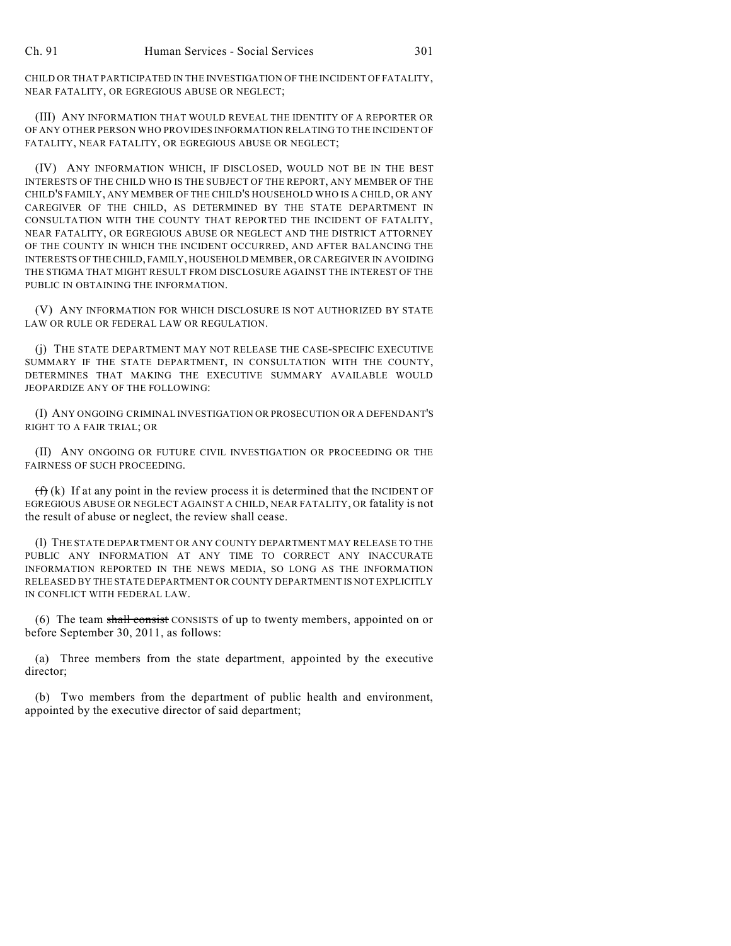CHILD OR THAT PARTICIPATED IN THE INVESTIGATION OF THE INCIDENT OF FATALITY, NEAR FATALITY, OR EGREGIOUS ABUSE OR NEGLECT;

(III) ANY INFORMATION THAT WOULD REVEAL THE IDENTITY OF A REPORTER OR OF ANY OTHER PERSON WHO PROVIDES INFORMATION RELATING TO THE INCIDENT OF FATALITY, NEAR FATALITY, OR EGREGIOUS ABUSE OR NEGLECT;

(IV) ANY INFORMATION WHICH, IF DISCLOSED, WOULD NOT BE IN THE BEST INTERESTS OF THE CHILD WHO IS THE SUBJECT OF THE REPORT, ANY MEMBER OF THE CHILD'S FAMILY, ANY MEMBER OF THE CHILD'S HOUSEHOLD WHO IS A CHILD, OR ANY CAREGIVER OF THE CHILD, AS DETERMINED BY THE STATE DEPARTMENT IN CONSULTATION WITH THE COUNTY THAT REPORTED THE INCIDENT OF FATALITY, NEAR FATALITY, OR EGREGIOUS ABUSE OR NEGLECT AND THE DISTRICT ATTORNEY OF THE COUNTY IN WHICH THE INCIDENT OCCURRED, AND AFTER BALANCING THE INTERESTS OFTHE CHILD, FAMILY, HOUSEHOLD MEMBER, OR CAREGIVER IN AVOIDING THE STIGMA THAT MIGHT RESULT FROM DISCLOSURE AGAINST THE INTEREST OF THE PUBLIC IN OBTAINING THE INFORMATION.

(V) ANY INFORMATION FOR WHICH DISCLOSURE IS NOT AUTHORIZED BY STATE LAW OR RULE OR FEDERAL LAW OR REGULATION.

(j) THE STATE DEPARTMENT MAY NOT RELEASE THE CASE-SPECIFIC EXECUTIVE SUMMARY IF THE STATE DEPARTMENT, IN CONSULTATION WITH THE COUNTY, DETERMINES THAT MAKING THE EXECUTIVE SUMMARY AVAILABLE WOULD JEOPARDIZE ANY OF THE FOLLOWING:

(I) ANY ONGOING CRIMINAL INVESTIGATION OR PROSECUTION OR A DEFENDANT'S RIGHT TO A FAIR TRIAL; OR

(II) ANY ONGOING OR FUTURE CIVIL INVESTIGATION OR PROCEEDING OR THE FAIRNESS OF SUCH PROCEEDING.

 $(f)$  (k) If at any point in the review process it is determined that the INCIDENT OF EGREGIOUS ABUSE OR NEGLECT AGAINST A CHILD, NEAR FATALITY, OR fatality is not the result of abuse or neglect, the review shall cease.

(l) THE STATE DEPARTMENT OR ANY COUNTY DEPARTMENT MAY RELEASE TO THE PUBLIC ANY INFORMATION AT ANY TIME TO CORRECT ANY INACCURATE INFORMATION REPORTED IN THE NEWS MEDIA, SO LONG AS THE INFORMATION RELEASED BY THE STATE DEPARTMENT OR COUNTY DEPARTMENT IS NOT EXPLICITLY IN CONFLICT WITH FEDERAL LAW.

(6) The team shall consist CONSISTS of up to twenty members, appointed on or before September 30, 2011, as follows:

(a) Three members from the state department, appointed by the executive director;

(b) Two members from the department of public health and environment, appointed by the executive director of said department;